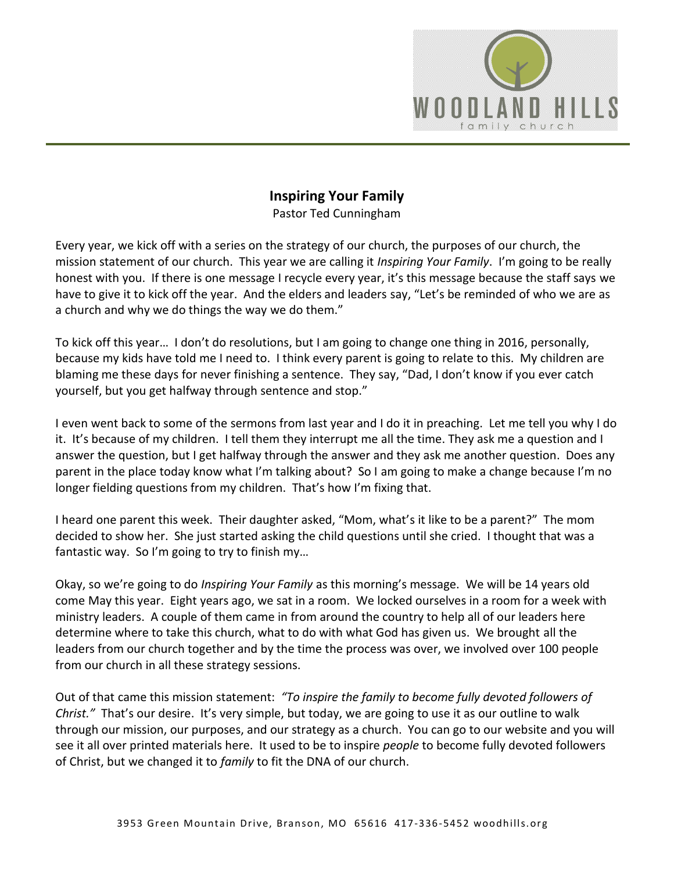

# **Inspiring Your Family**

Pastor Ted Cunningham

Every year, we kick off with a series on the strategy of our church, the purposes of our church, the mission statement of our church. This year we are calling it *Inspiring Your Family*. I'm going to be really honest with you. If there is one message I recycle every year, it's this message because the staff says we have to give it to kick off the year. And the elders and leaders say, "Let's be reminded of who we are as a church and why we do things the way we do them."

To kick off this year… I don't do resolutions, but I am going to change one thing in 2016, personally, because my kids have told me I need to. I think every parent is going to relate to this. My children are blaming me these days for never finishing a sentence. They say, "Dad, I don't know if you ever catch yourself, but you get halfway through sentence and stop."

I even went back to some of the sermons from last year and I do it in preaching. Let me tell you why I do it. It's because of my children. I tell them they interrupt me all the time. They ask me a question and I answer the question, but I get halfway through the answer and they ask me another question. Does any parent in the place today know what I'm talking about? So I am going to make a change because I'm no longer fielding questions from my children. That's how I'm fixing that.

I heard one parent this week. Their daughter asked, "Mom, what's it like to be a parent?" The mom decided to show her. She just started asking the child questions until she cried. I thought that was a fantastic way. So I'm going to try to finish my…

Okay, so we're going to do *Inspiring Your Family* as this morning's message. We will be 14 years old come May this year. Eight years ago, we sat in a room. We locked ourselves in a room for a week with ministry leaders. A couple of them came in from around the country to help all of our leaders here determine where to take this church, what to do with what God has given us. We brought all the leaders from our church together and by the time the process was over, we involved over 100 people from our church in all these strategy sessions.

Out of that came this mission statement: *"To inspire the family to become fully devoted followers of Christ."* That's our desire. It's very simple, but today, we are going to use it as our outline to walk through our mission, our purposes, and our strategy as a church. You can go to our website and you will see it all over printed materials here. It used to be to inspire *people* to become fully devoted followers of Christ, but we changed it to *family* to fit the DNA of our church.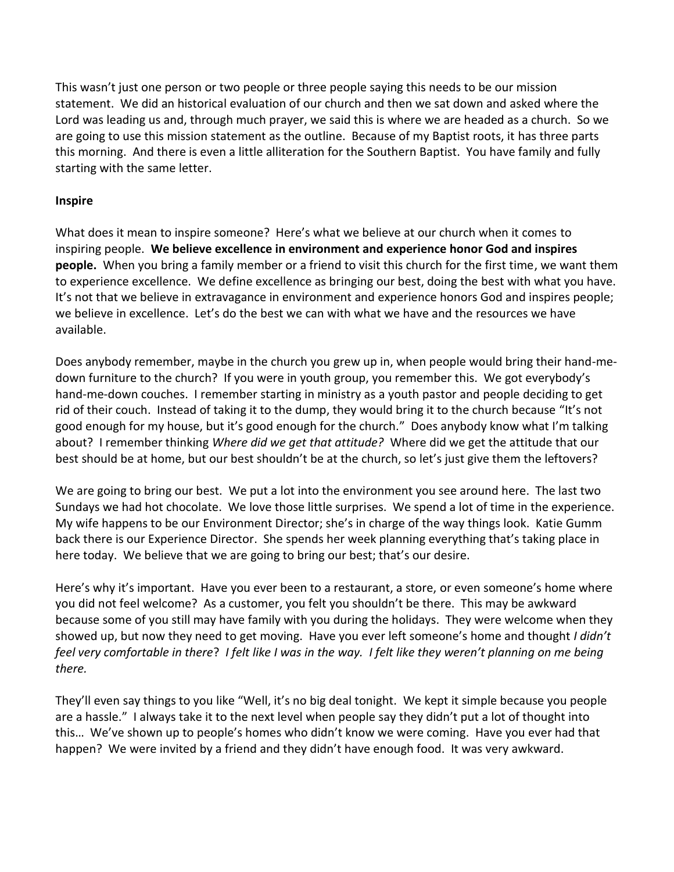This wasn't just one person or two people or three people saying this needs to be our mission statement. We did an historical evaluation of our church and then we sat down and asked where the Lord was leading us and, through much prayer, we said this is where we are headed as a church. So we are going to use this mission statement as the outline. Because of my Baptist roots, it has three parts this morning. And there is even a little alliteration for the Southern Baptist. You have family and fully starting with the same letter.

## **Inspire**

What does it mean to inspire someone? Here's what we believe at our church when it comes to inspiring people. **We believe excellence in environment and experience honor God and inspires people.** When you bring a family member or a friend to visit this church for the first time, we want them to experience excellence. We define excellence as bringing our best, doing the best with what you have. It's not that we believe in extravagance in environment and experience honors God and inspires people; we believe in excellence. Let's do the best we can with what we have and the resources we have available.

Does anybody remember, maybe in the church you grew up in, when people would bring their hand-medown furniture to the church? If you were in youth group, you remember this. We got everybody's hand-me-down couches. I remember starting in ministry as a youth pastor and people deciding to get rid of their couch. Instead of taking it to the dump, they would bring it to the church because "It's not good enough for my house, but it's good enough for the church." Does anybody know what I'm talking about? I remember thinking *Where did we get that attitude?* Where did we get the attitude that our best should be at home, but our best shouldn't be at the church, so let's just give them the leftovers?

We are going to bring our best. We put a lot into the environment you see around here. The last two Sundays we had hot chocolate. We love those little surprises. We spend a lot of time in the experience. My wife happens to be our Environment Director; she's in charge of the way things look. Katie Gumm back there is our Experience Director. She spends her week planning everything that's taking place in here today. We believe that we are going to bring our best; that's our desire.

Here's why it's important. Have you ever been to a restaurant, a store, or even someone's home where you did not feel welcome? As a customer, you felt you shouldn't be there. This may be awkward because some of you still may have family with you during the holidays. They were welcome when they showed up, but now they need to get moving. Have you ever left someone's home and thought *I didn't feel very comfortable in there*? *I felt like I was in the way. I felt like they weren't planning on me being there.* 

They'll even say things to you like "Well, it's no big deal tonight. We kept it simple because you people are a hassle." I always take it to the next level when people say they didn't put a lot of thought into this… We've shown up to people's homes who didn't know we were coming. Have you ever had that happen? We were invited by a friend and they didn't have enough food. It was very awkward.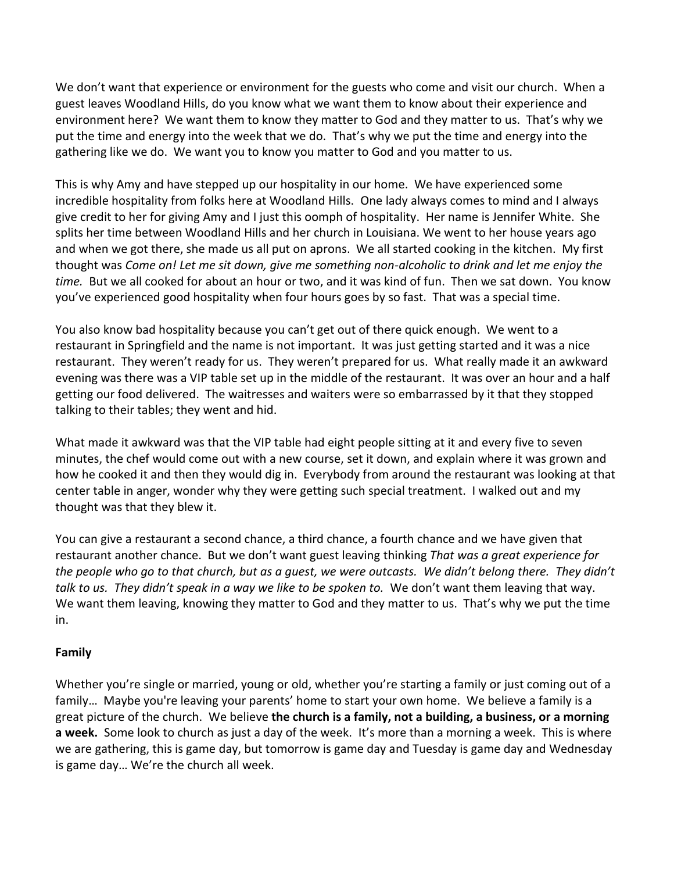We don't want that experience or environment for the guests who come and visit our church. When a guest leaves Woodland Hills, do you know what we want them to know about their experience and environment here? We want them to know they matter to God and they matter to us. That's why we put the time and energy into the week that we do. That's why we put the time and energy into the gathering like we do. We want you to know you matter to God and you matter to us.

This is why Amy and have stepped up our hospitality in our home. We have experienced some incredible hospitality from folks here at Woodland Hills. One lady always comes to mind and I always give credit to her for giving Amy and I just this oomph of hospitality. Her name is Jennifer White. She splits her time between Woodland Hills and her church in Louisiana. We went to her house years ago and when we got there, she made us all put on aprons. We all started cooking in the kitchen. My first thought was *Come on! Let me sit down, give me something non-alcoholic to drink and let me enjoy the time.* But we all cooked for about an hour or two, and it was kind of fun. Then we sat down. You know you've experienced good hospitality when four hours goes by so fast. That was a special time.

You also know bad hospitality because you can't get out of there quick enough. We went to a restaurant in Springfield and the name is not important. It was just getting started and it was a nice restaurant. They weren't ready for us. They weren't prepared for us. What really made it an awkward evening was there was a VIP table set up in the middle of the restaurant. It was over an hour and a half getting our food delivered. The waitresses and waiters were so embarrassed by it that they stopped talking to their tables; they went and hid.

What made it awkward was that the VIP table had eight people sitting at it and every five to seven minutes, the chef would come out with a new course, set it down, and explain where it was grown and how he cooked it and then they would dig in. Everybody from around the restaurant was looking at that center table in anger, wonder why they were getting such special treatment. I walked out and my thought was that they blew it.

You can give a restaurant a second chance, a third chance, a fourth chance and we have given that restaurant another chance. But we don't want guest leaving thinking *That was a great experience for the people who go to that church, but as a guest, we were outcasts. We didn't belong there. They didn't talk to us. They didn't speak in a way we like to be spoken to.* We don't want them leaving that way. We want them leaving, knowing they matter to God and they matter to us. That's why we put the time in.

# **Family**

Whether you're single or married, young or old, whether you're starting a family or just coming out of a family… Maybe you're leaving your parents' home to start your own home. We believe a family is a great picture of the church. We believe **the church is a family, not a building, a business, or a morning a week.** Some look to church as just a day of the week. It's more than a morning a week. This is where we are gathering, this is game day, but tomorrow is game day and Tuesday is game day and Wednesday is game day… We're the church all week.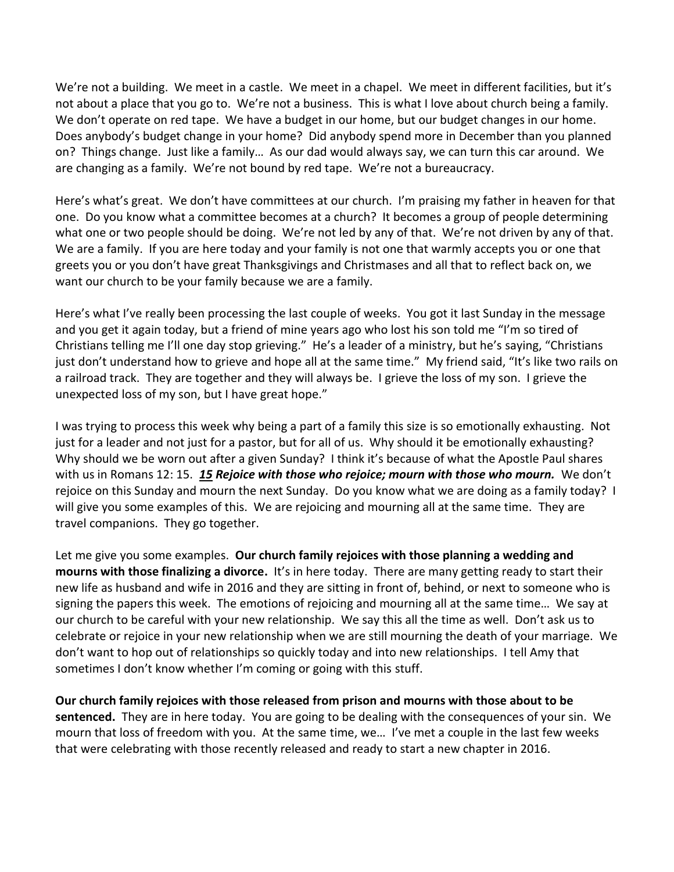We're not a building. We meet in a castle. We meet in a chapel. We meet in different facilities, but it's not about a place that you go to. We're not a business. This is what I love about church being a family. We don't operate on red tape. We have a budget in our home, but our budget changes in our home. Does anybody's budget change in your home? Did anybody spend more in December than you planned on? Things change. Just like a family… As our dad would always say, we can turn this car around. We are changing as a family. We're not bound by red tape. We're not a bureaucracy.

Here's what's great. We don't have committees at our church. I'm praising my father in heaven for that one. Do you know what a committee becomes at a church? It becomes a group of people determining what one or two people should be doing. We're not led by any of that. We're not driven by any of that. We are a family. If you are here today and your family is not one that warmly accepts you or one that greets you or you don't have great Thanksgivings and Christmases and all that to reflect back on, we want our church to be your family because we are a family.

Here's what I've really been processing the last couple of weeks. You got it last Sunday in the message and you get it again today, but a friend of mine years ago who lost his son told me "I'm so tired of Christians telling me I'll one day stop grieving." He's a leader of a ministry, but he's saying, "Christians just don't understand how to grieve and hope all at the same time." My friend said, "It's like two rails on a railroad track. They are together and they will always be. I grieve the loss of my son. I grieve the unexpected loss of my son, but I have great hope."

I was trying to process this week why being a part of a family this size is so emotionally exhausting. Not just for a leader and not just for a pastor, but for all of us. Why should it be emotionally exhausting? Why should we be worn out after a given Sunday? I think it's because of what the Apostle Paul shares with us in Romans 12: 15. *[15](http://www.studylight.org/desk/?q=ro%2012:15&t1=en_niv&sr=1) Rejoice with those who rejoice; mourn with those who mourn.* We don't rejoice on this Sunday and mourn the next Sunday. Do you know what we are doing as a family today? I will give you some examples of this. We are rejoicing and mourning all at the same time. They are travel companions. They go together.

Let me give you some examples. **Our church family rejoices with those planning a wedding and mourns with those finalizing a divorce.** It's in here today. There are many getting ready to start their new life as husband and wife in 2016 and they are sitting in front of, behind, or next to someone who is signing the papers this week. The emotions of rejoicing and mourning all at the same time… We say at our church to be careful with your new relationship. We say this all the time as well. Don't ask us to celebrate or rejoice in your new relationship when we are still mourning the death of your marriage. We don't want to hop out of relationships so quickly today and into new relationships. I tell Amy that sometimes I don't know whether I'm coming or going with this stuff.

**Our church family rejoices with those released from prison and mourns with those about to be sentenced.** They are in here today. You are going to be dealing with the consequences of your sin. We mourn that loss of freedom with you. At the same time, we… I've met a couple in the last few weeks that were celebrating with those recently released and ready to start a new chapter in 2016.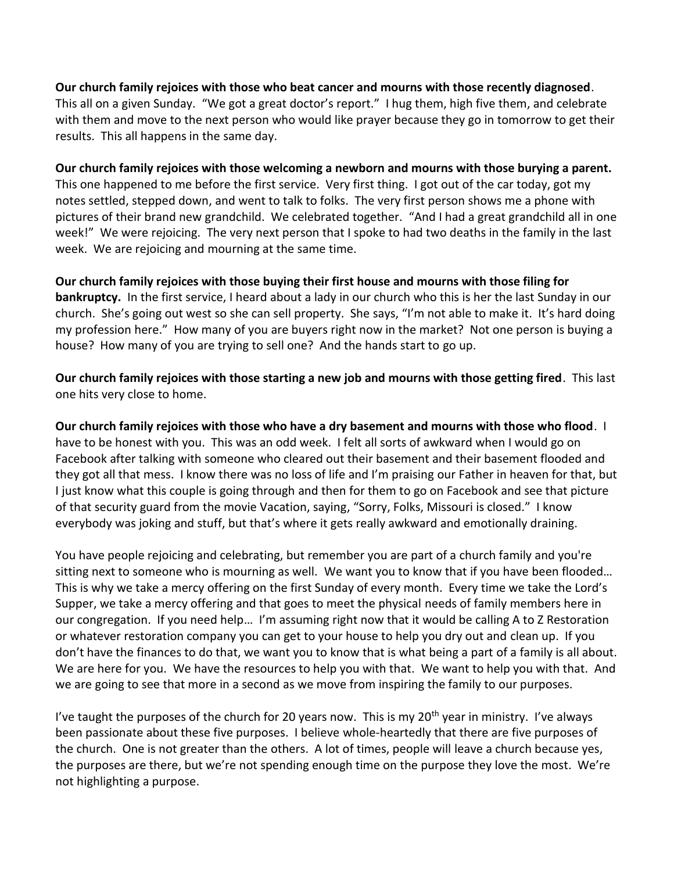#### **Our church family rejoices with those who beat cancer and mourns with those recently diagnosed**.

This all on a given Sunday. "We got a great doctor's report." I hug them, high five them, and celebrate with them and move to the next person who would like prayer because they go in tomorrow to get their results. This all happens in the same day.

#### **Our church family rejoices with those welcoming a newborn and mourns with those burying a parent.**

This one happened to me before the first service. Very first thing. I got out of the car today, got my notes settled, stepped down, and went to talk to folks. The very first person shows me a phone with pictures of their brand new grandchild. We celebrated together. "And I had a great grandchild all in one week!" We were rejoicing. The very next person that I spoke to had two deaths in the family in the last week. We are rejoicing and mourning at the same time.

## **Our church family rejoices with those buying their first house and mourns with those filing for bankruptcy.** In the first service, I heard about a lady in our church who this is her the last Sunday in our church. She's going out west so she can sell property. She says, "I'm not able to make it. It's hard doing my profession here." How many of you are buyers right now in the market? Not one person is buying a house? How many of you are trying to sell one? And the hands start to go up.

**Our church family rejoices with those starting a new job and mourns with those getting fired**. This last one hits very close to home.

**Our church family rejoices with those who have a dry basement and mourns with those who flood**. I have to be honest with you. This was an odd week. I felt all sorts of awkward when I would go on Facebook after talking with someone who cleared out their basement and their basement flooded and they got all that mess. I know there was no loss of life and I'm praising our Father in heaven for that, but I just know what this couple is going through and then for them to go on Facebook and see that picture of that security guard from the movie Vacation, saying, "Sorry, Folks, Missouri is closed." I know everybody was joking and stuff, but that's where it gets really awkward and emotionally draining.

You have people rejoicing and celebrating, but remember you are part of a church family and you're sitting next to someone who is mourning as well. We want you to know that if you have been flooded… This is why we take a mercy offering on the first Sunday of every month. Every time we take the Lord's Supper, we take a mercy offering and that goes to meet the physical needs of family members here in our congregation. If you need help… I'm assuming right now that it would be calling A to Z Restoration or whatever restoration company you can get to your house to help you dry out and clean up. If you don't have the finances to do that, we want you to know that is what being a part of a family is all about. We are here for you. We have the resources to help you with that. We want to help you with that. And we are going to see that more in a second as we move from inspiring the family to our purposes.

I've taught the purposes of the church for 20 years now. This is my  $20<sup>th</sup>$  year in ministry. I've always been passionate about these five purposes. I believe whole-heartedly that there are five purposes of the church. One is not greater than the others. A lot of times, people will leave a church because yes, the purposes are there, but we're not spending enough time on the purpose they love the most. We're not highlighting a purpose.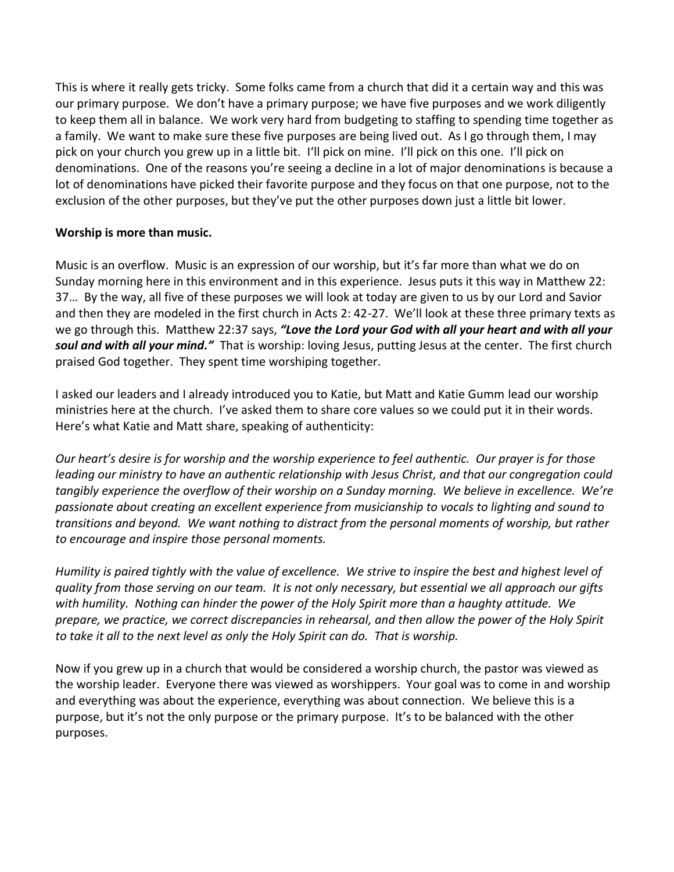This is where it really gets tricky. Some folks came from a church that did it a certain way and this was our primary purpose. We don't have a primary purpose; we have five purposes and we work diligently to keep them all in balance. We work very hard from budgeting to staffing to spending time together as a family. We want to make sure these five purposes are being lived out. As I go through them, I may pick on your church you grew up in a little bit. I'll pick on mine. I'll pick on this one. I'll pick on denominations. One of the reasons you're seeing a decline in a lot of major denominations is because a lot of denominations have picked their favorite purpose and they focus on that one purpose, not to the exclusion of the other purposes, but they've put the other purposes down just a little bit lower.

# **Worship is more than music.**

Music is an overflow. Music is an expression of our worship, but it's far more than what we do on Sunday morning here in this environment and in this experience. Jesus puts it this way in Matthew 22: 37… By the way, all five of these purposes we will look at today are given to us by our Lord and Savior and then they are modeled in the first church in Acts 2: 42-27. We'll look at these three primary texts as we go through this. Matthew 22:37 says, *"Love the Lord your God with all your heart and with all your soul and with all your mind."* That is worship: loving Jesus, putting Jesus at the center. The first church praised God together. They spent time worshiping together.

I asked our leaders and I already introduced you to Katie, but Matt and Katie Gumm lead our worship ministries here at the church. I've asked them to share core values so we could put it in their words. Here's what Katie and Matt share, speaking of authenticity:

*Our heart's desire is for worship and the worship experience to feel authentic. Our prayer is for those leading our ministry to have an authentic relationship with Jesus Christ, and that our congregation could tangibly experience the overflow of their worship on a Sunday morning. We believe in excellence. We're passionate about creating an excellent experience from musicianship to vocals to lighting and sound to transitions and beyond. We want nothing to distract from the personal moments of worship, but rather to encourage and inspire those personal moments.* 

*Humility is paired tightly with the value of excellence. We strive to inspire the best and highest level of quality from those serving on our team. It is not only necessary, but essential we all approach our gifts with humility. Nothing can hinder the power of the Holy Spirit more than a haughty attitude. We prepare, we practice, we correct discrepancies in rehearsal, and then allow the power of the Holy Spirit to take it all to the next level as only the Holy Spirit can do. That is worship.* 

Now if you grew up in a church that would be considered a worship church, the pastor was viewed as the worship leader. Everyone there was viewed as worshippers. Your goal was to come in and worship and everything was about the experience, everything was about connection. We believe this is a purpose, but it's not the only purpose or the primary purpose. It's to be balanced with the other purposes.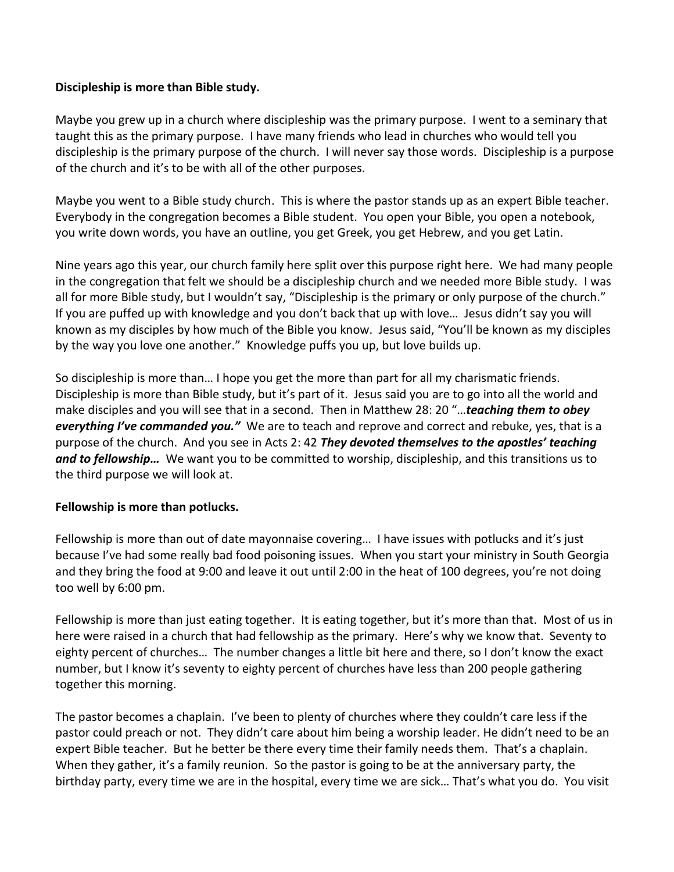## **Discipleship is more than Bible study.**

Maybe you grew up in a church where discipleship was the primary purpose. I went to a seminary that taught this as the primary purpose. I have many friends who lead in churches who would tell you discipleship is the primary purpose of the church. I will never say those words. Discipleship is a purpose of the church and it's to be with all of the other purposes.

Maybe you went to a Bible study church. This is where the pastor stands up as an expert Bible teacher. Everybody in the congregation becomes a Bible student. You open your Bible, you open a notebook, you write down words, you have an outline, you get Greek, you get Hebrew, and you get Latin.

Nine years ago this year, our church family here split over this purpose right here. We had many people in the congregation that felt we should be a discipleship church and we needed more Bible study. I was all for more Bible study, but I wouldn't say, "Discipleship is the primary or only purpose of the church." If you are puffed up with knowledge and you don't back that up with love… Jesus didn't say you will known as my disciples by how much of the Bible you know. Jesus said, "You'll be known as my disciples by the way you love one another." Knowledge puffs you up, but love builds up.

So discipleship is more than… I hope you get the more than part for all my charismatic friends. Discipleship is more than Bible study, but it's part of it. Jesus said you are to go into all the world and make disciples and you will see that in a second. Then in Matthew 28: 20 "…*teaching them to obey everything I've commanded you."* We are to teach and reprove and correct and rebuke, yes, that is a purpose of the church. And you see in Acts 2: 42 *They devoted themselves to the apostles' teaching and to fellowship…* We want you to be committed to worship, discipleship, and this transitions us to the third purpose we will look at.

# **Fellowship is more than potlucks.**

Fellowship is more than out of date mayonnaise covering… I have issues with potlucks and it's just because I've had some really bad food poisoning issues. When you start your ministry in South Georgia and they bring the food at 9:00 and leave it out until 2:00 in the heat of 100 degrees, you're not doing too well by 6:00 pm.

Fellowship is more than just eating together. It is eating together, but it's more than that. Most of us in here were raised in a church that had fellowship as the primary. Here's why we know that. Seventy to eighty percent of churches… The number changes a little bit here and there, so I don't know the exact number, but I know it's seventy to eighty percent of churches have less than 200 people gathering together this morning.

The pastor becomes a chaplain. I've been to plenty of churches where they couldn't care less if the pastor could preach or not. They didn't care about him being a worship leader. He didn't need to be an expert Bible teacher. But he better be there every time their family needs them. That's a chaplain. When they gather, it's a family reunion. So the pastor is going to be at the anniversary party, the birthday party, every time we are in the hospital, every time we are sick… That's what you do. You visit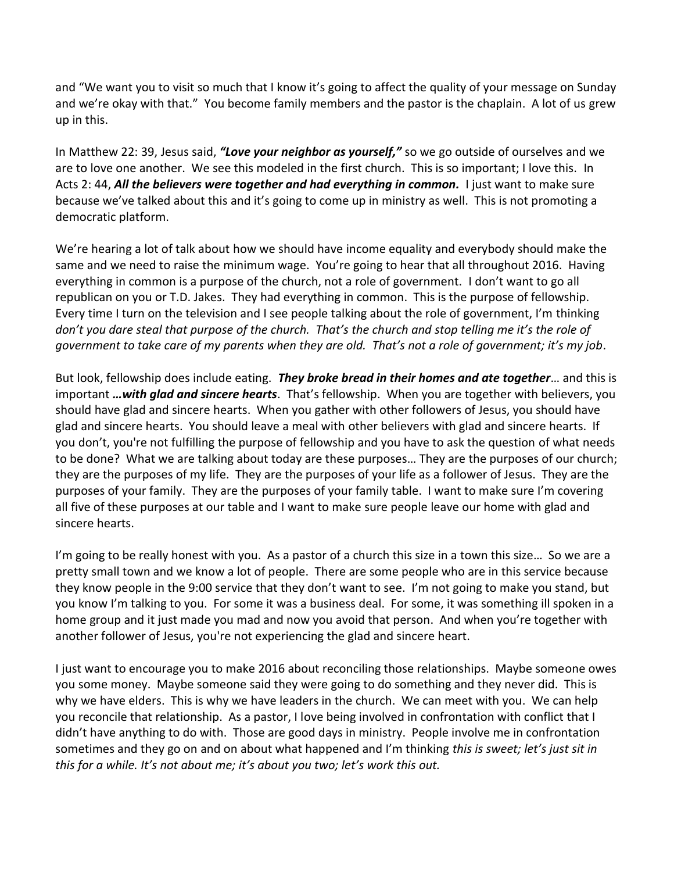and "We want you to visit so much that I know it's going to affect the quality of your message on Sunday and we're okay with that." You become family members and the pastor is the chaplain. A lot of us grew up in this.

In Matthew 22: 39, Jesus said, *"Love your neighbor as yourself,"* so we go outside of ourselves and we are to love one another. We see this modeled in the first church. This is so important; I love this. In Acts 2: 44, *All the believers were together and had everything in common.* I just want to make sure because we've talked about this and it's going to come up in ministry as well. This is not promoting a democratic platform.

We're hearing a lot of talk about how we should have income equality and everybody should make the same and we need to raise the minimum wage. You're going to hear that all throughout 2016. Having everything in common is a purpose of the church, not a role of government. I don't want to go all republican on you or T.D. Jakes. They had everything in common. This is the purpose of fellowship. Every time I turn on the television and I see people talking about the role of government, I'm thinking *don't you dare steal that purpose of the church. That's the church and stop telling me it's the role of government to take care of my parents when they are old. That's not a role of government; it's my job*.

But look, fellowship does include eating. *They broke bread in their homes and ate together*… and this is important *…with glad and sincere hearts*. That's fellowship. When you are together with believers, you should have glad and sincere hearts. When you gather with other followers of Jesus, you should have glad and sincere hearts. You should leave a meal with other believers with glad and sincere hearts. If you don't, you're not fulfilling the purpose of fellowship and you have to ask the question of what needs to be done? What we are talking about today are these purposes… They are the purposes of our church; they are the purposes of my life. They are the purposes of your life as a follower of Jesus. They are the purposes of your family. They are the purposes of your family table. I want to make sure I'm covering all five of these purposes at our table and I want to make sure people leave our home with glad and sincere hearts.

I'm going to be really honest with you. As a pastor of a church this size in a town this size... So we are a pretty small town and we know a lot of people. There are some people who are in this service because they know people in the 9:00 service that they don't want to see. I'm not going to make you stand, but you know I'm talking to you. For some it was a business deal. For some, it was something ill spoken in a home group and it just made you mad and now you avoid that person. And when you're together with another follower of Jesus, you're not experiencing the glad and sincere heart.

I just want to encourage you to make 2016 about reconciling those relationships. Maybe someone owes you some money. Maybe someone said they were going to do something and they never did. This is why we have elders. This is why we have leaders in the church. We can meet with you. We can help you reconcile that relationship. As a pastor, I love being involved in confrontation with conflict that I didn't have anything to do with. Those are good days in ministry. People involve me in confrontation sometimes and they go on and on about what happened and I'm thinking *this is sweet; let's just sit in this for a while. It's not about me; it's about you two; let's work this out.*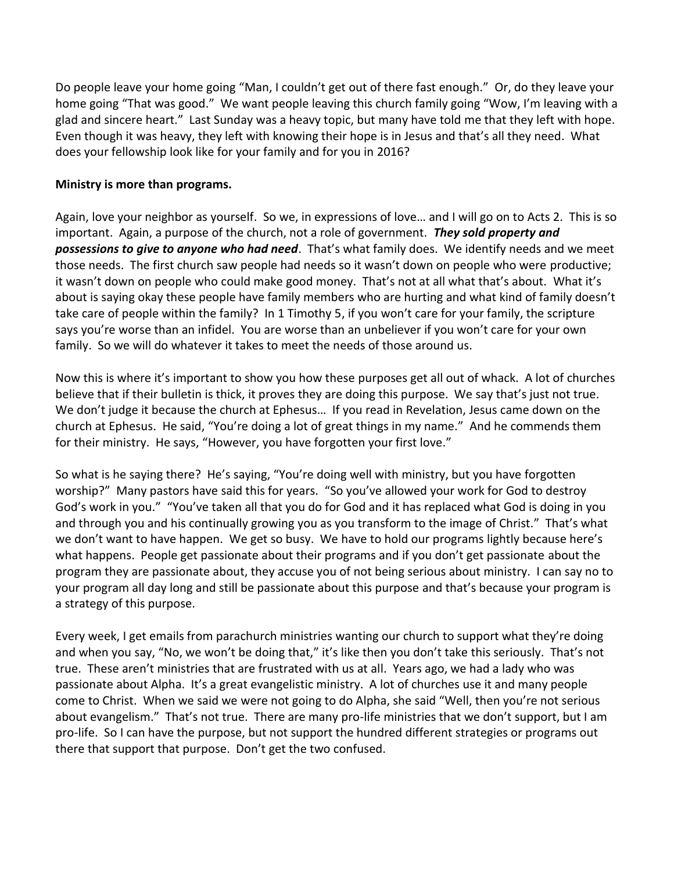Do people leave your home going "Man, I couldn't get out of there fast enough." Or, do they leave your home going "That was good." We want people leaving this church family going "Wow, I'm leaving with a glad and sincere heart." Last Sunday was a heavy topic, but many have told me that they left with hope. Even though it was heavy, they left with knowing their hope is in Jesus and that's all they need. What does your fellowship look like for your family and for you in 2016?

## **Ministry is more than programs.**

Again, love your neighbor as yourself. So we, in expressions of love… and I will go on to Acts 2. This is so important. Again, a purpose of the church, not a role of government. *They sold property and possessions to give to anyone who had need*. That's what family does. We identify needs and we meet those needs. The first church saw people had needs so it wasn't down on people who were productive; it wasn't down on people who could make good money. That's not at all what that's about. What it's about is saying okay these people have family members who are hurting and what kind of family doesn't take care of people within the family? In 1 Timothy 5, if you won't care for your family, the scripture says you're worse than an infidel. You are worse than an unbeliever if you won't care for your own family. So we will do whatever it takes to meet the needs of those around us.

Now this is where it's important to show you how these purposes get all out of whack. A lot of churches believe that if their bulletin is thick, it proves they are doing this purpose. We say that's just not true. We don't judge it because the church at Ephesus… If you read in Revelation, Jesus came down on the church at Ephesus. He said, "You're doing a lot of great things in my name." And he commends them for their ministry. He says, "However, you have forgotten your first love."

So what is he saying there? He's saying, "You're doing well with ministry, but you have forgotten worship?" Many pastors have said this for years. "So you've allowed your work for God to destroy God's work in you." "You've taken all that you do for God and it has replaced what God is doing in you and through you and his continually growing you as you transform to the image of Christ." That's what we don't want to have happen. We get so busy. We have to hold our programs lightly because here's what happens. People get passionate about their programs and if you don't get passionate about the program they are passionate about, they accuse you of not being serious about ministry. I can say no to your program all day long and still be passionate about this purpose and that's because your program is a strategy of this purpose.

Every week, I get emails from parachurch ministries wanting our church to support what they're doing and when you say, "No, we won't be doing that," it's like then you don't take this seriously. That's not true. These aren't ministries that are frustrated with us at all. Years ago, we had a lady who was passionate about Alpha. It's a great evangelistic ministry. A lot of churches use it and many people come to Christ. When we said we were not going to do Alpha, she said "Well, then you're not serious about evangelism." That's not true. There are many pro-life ministries that we don't support, but I am pro-life. So I can have the purpose, but not support the hundred different strategies or programs out there that support that purpose. Don't get the two confused.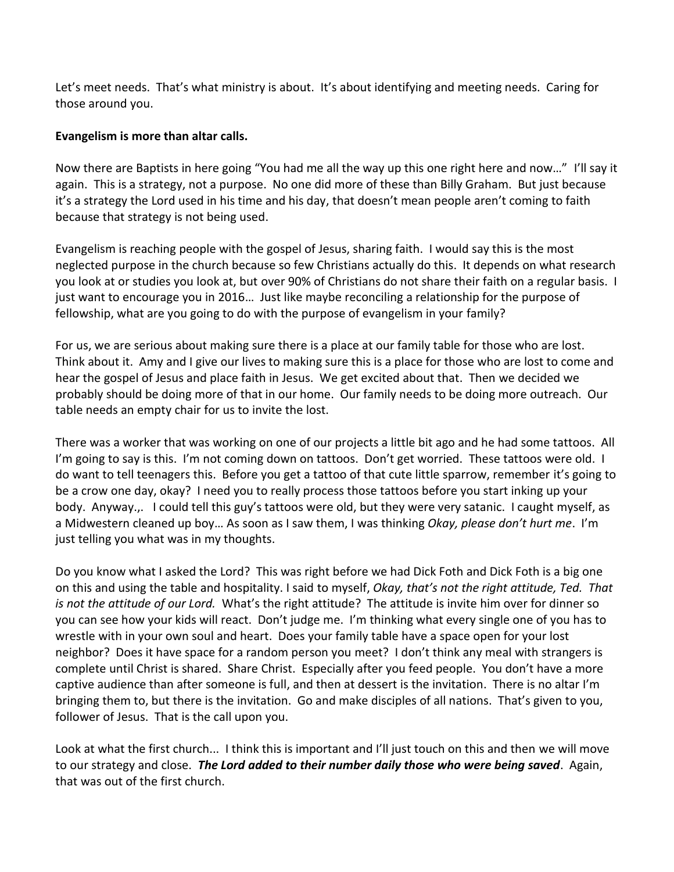Let's meet needs. That's what ministry is about. It's about identifying and meeting needs. Caring for those around you.

## **Evangelism is more than altar calls.**

Now there are Baptists in here going "You had me all the way up this one right here and now…" I'll say it again. This is a strategy, not a purpose. No one did more of these than Billy Graham. But just because it's a strategy the Lord used in his time and his day, that doesn't mean people aren't coming to faith because that strategy is not being used.

Evangelism is reaching people with the gospel of Jesus, sharing faith. I would say this is the most neglected purpose in the church because so few Christians actually do this. It depends on what research you look at or studies you look at, but over 90% of Christians do not share their faith on a regular basis. I just want to encourage you in 2016… Just like maybe reconciling a relationship for the purpose of fellowship, what are you going to do with the purpose of evangelism in your family?

For us, we are serious about making sure there is a place at our family table for those who are lost. Think about it. Amy and I give our lives to making sure this is a place for those who are lost to come and hear the gospel of Jesus and place faith in Jesus. We get excited about that. Then we decided we probably should be doing more of that in our home. Our family needs to be doing more outreach. Our table needs an empty chair for us to invite the lost.

There was a worker that was working on one of our projects a little bit ago and he had some tattoos. All I'm going to say is this. I'm not coming down on tattoos. Don't get worried. These tattoos were old. I do want to tell teenagers this. Before you get a tattoo of that cute little sparrow, remember it's going to be a crow one day, okay? I need you to really process those tattoos before you start inking up your body. Anyway.,. I could tell this guy's tattoos were old, but they were very satanic. I caught myself, as a Midwestern cleaned up boy… As soon as I saw them, I was thinking *Okay, please don't hurt me*. I'm just telling you what was in my thoughts.

Do you know what I asked the Lord? This was right before we had Dick Foth and Dick Foth is a big one on this and using the table and hospitality. I said to myself, *Okay, that's not the right attitude, Ted. That is not the attitude of our Lord.* What's the right attitude? The attitude is invite him over for dinner so you can see how your kids will react. Don't judge me. I'm thinking what every single one of you has to wrestle with in your own soul and heart. Does your family table have a space open for your lost neighbor? Does it have space for a random person you meet? I don't think any meal with strangers is complete until Christ is shared. Share Christ. Especially after you feed people. You don't have a more captive audience than after someone is full, and then at dessert is the invitation. There is no altar I'm bringing them to, but there is the invitation. Go and make disciples of all nations. That's given to you, follower of Jesus. That is the call upon you.

Look at what the first church... I think this is important and I'll just touch on this and then we will move to our strategy and close. *The Lord added to their number daily those who were being saved*. Again, that was out of the first church.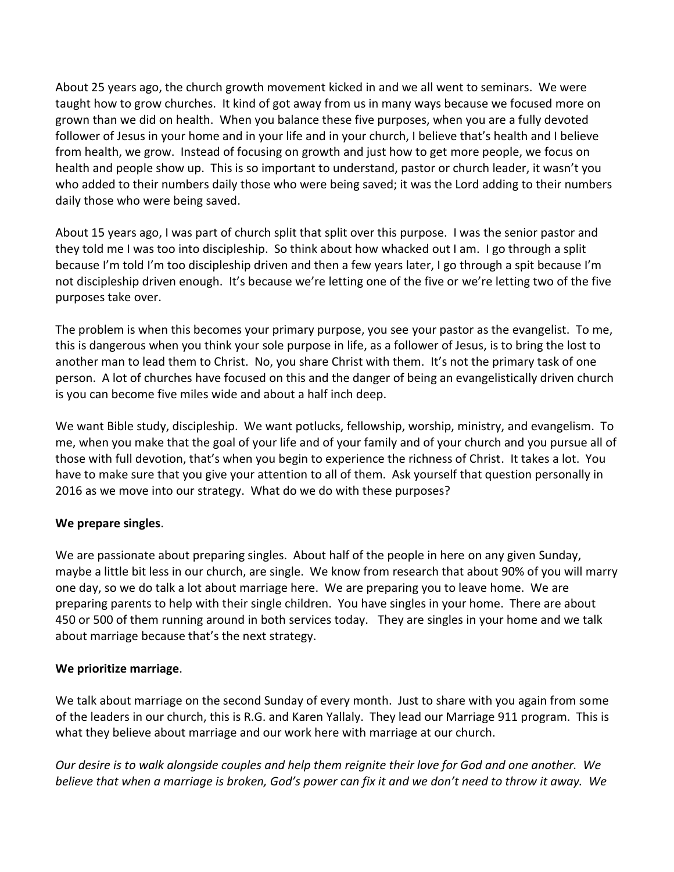About 25 years ago, the church growth movement kicked in and we all went to seminars. We were taught how to grow churches. It kind of got away from us in many ways because we focused more on grown than we did on health. When you balance these five purposes, when you are a fully devoted follower of Jesus in your home and in your life and in your church, I believe that's health and I believe from health, we grow. Instead of focusing on growth and just how to get more people, we focus on health and people show up. This is so important to understand, pastor or church leader, it wasn't you who added to their numbers daily those who were being saved; it was the Lord adding to their numbers daily those who were being saved.

About 15 years ago, I was part of church split that split over this purpose. I was the senior pastor and they told me I was too into discipleship. So think about how whacked out I am. I go through a split because I'm told I'm too discipleship driven and then a few years later, I go through a spit because I'm not discipleship driven enough. It's because we're letting one of the five or we're letting two of the five purposes take over.

The problem is when this becomes your primary purpose, you see your pastor as the evangelist. To me, this is dangerous when you think your sole purpose in life, as a follower of Jesus, is to bring the lost to another man to lead them to Christ. No, you share Christ with them. It's not the primary task of one person. A lot of churches have focused on this and the danger of being an evangelistically driven church is you can become five miles wide and about a half inch deep.

We want Bible study, discipleship. We want potlucks, fellowship, worship, ministry, and evangelism. To me, when you make that the goal of your life and of your family and of your church and you pursue all of those with full devotion, that's when you begin to experience the richness of Christ. It takes a lot. You have to make sure that you give your attention to all of them. Ask yourself that question personally in 2016 as we move into our strategy. What do we do with these purposes?

# **We prepare singles**.

We are passionate about preparing singles. About half of the people in here on any given Sunday, maybe a little bit less in our church, are single. We know from research that about 90% of you will marry one day, so we do talk a lot about marriage here. We are preparing you to leave home. We are preparing parents to help with their single children. You have singles in your home. There are about 450 or 500 of them running around in both services today. They are singles in your home and we talk about marriage because that's the next strategy.

# **We prioritize marriage**.

We talk about marriage on the second Sunday of every month. Just to share with you again from some of the leaders in our church, this is R.G. and Karen Yallaly. They lead our Marriage 911 program. This is what they believe about marriage and our work here with marriage at our church.

*Our desire is to walk alongside couples and help them reignite their love for God and one another. We believe that when a marriage is broken, God's power can fix it and we don't need to throw it away. We*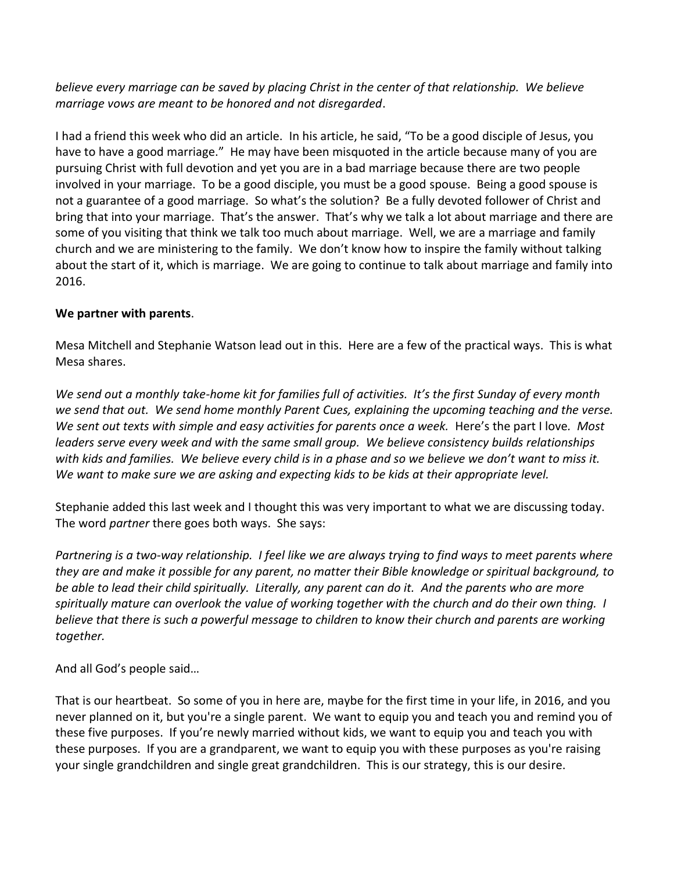*believe every marriage can be saved by placing Christ in the center of that relationship. We believe marriage vows are meant to be honored and not disregarded*.

I had a friend this week who did an article. In his article, he said, "To be a good disciple of Jesus, you have to have a good marriage." He may have been misquoted in the article because many of you are pursuing Christ with full devotion and yet you are in a bad marriage because there are two people involved in your marriage. To be a good disciple, you must be a good spouse. Being a good spouse is not a guarantee of a good marriage. So what's the solution? Be a fully devoted follower of Christ and bring that into your marriage. That's the answer. That's why we talk a lot about marriage and there are some of you visiting that think we talk too much about marriage. Well, we are a marriage and family church and we are ministering to the family. We don't know how to inspire the family without talking about the start of it, which is marriage. We are going to continue to talk about marriage and family into 2016.

# **We partner with parents**.

Mesa Mitchell and Stephanie Watson lead out in this. Here are a few of the practical ways. This is what Mesa shares.

*We send out a monthly take-home kit for families full of activities. It's the first Sunday of every month we send that out. We send home monthly Parent Cues, explaining the upcoming teaching and the verse. We sent out texts with simple and easy activities for parents once a week.* Here's the part I love*. Most leaders serve every week and with the same small group. We believe consistency builds relationships with kids and families. We believe every child is in a phase and so we believe we don't want to miss it. We want to make sure we are asking and expecting kids to be kids at their appropriate level.* 

Stephanie added this last week and I thought this was very important to what we are discussing today. The word *partner* there goes both ways. She says:

*Partnering is a two-way relationship. I feel like we are always trying to find ways to meet parents where they are and make it possible for any parent, no matter their Bible knowledge or spiritual background, to be able to lead their child spiritually. Literally, any parent can do it. And the parents who are more spiritually mature can overlook the value of working together with the church and do their own thing. I believe that there is such a powerful message to children to know their church and parents are working together.* 

And all God's people said…

That is our heartbeat. So some of you in here are, maybe for the first time in your life, in 2016, and you never planned on it, but you're a single parent. We want to equip you and teach you and remind you of these five purposes. If you're newly married without kids, we want to equip you and teach you with these purposes. If you are a grandparent, we want to equip you with these purposes as you're raising your single grandchildren and single great grandchildren. This is our strategy, this is our desire.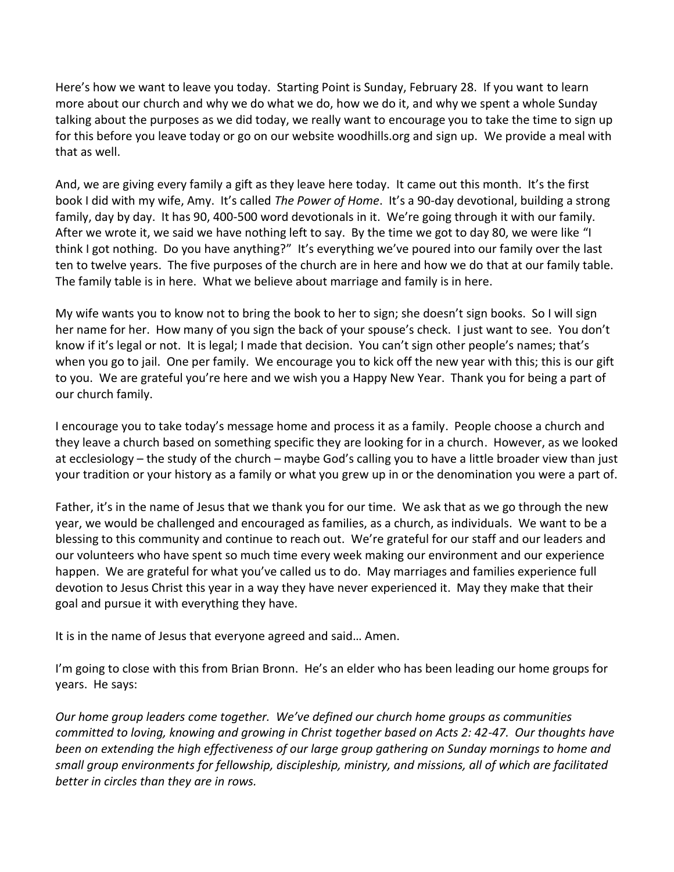Here's how we want to leave you today. Starting Point is Sunday, February 28. If you want to learn more about our church and why we do what we do, how we do it, and why we spent a whole Sunday talking about the purposes as we did today, we really want to encourage you to take the time to sign up for this before you leave today or go on our website woodhills.org and sign up. We provide a meal with that as well.

And, we are giving every family a gift as they leave here today. It came out this month. It's the first book I did with my wife, Amy. It's called *The Power of Home*. It's a 90-day devotional, building a strong family, day by day. It has 90, 400-500 word devotionals in it. We're going through it with our family. After we wrote it, we said we have nothing left to say. By the time we got to day 80, we were like "I think I got nothing. Do you have anything?" It's everything we've poured into our family over the last ten to twelve years. The five purposes of the church are in here and how we do that at our family table. The family table is in here. What we believe about marriage and family is in here.

My wife wants you to know not to bring the book to her to sign; she doesn't sign books. So I will sign her name for her. How many of you sign the back of your spouse's check. I just want to see. You don't know if it's legal or not. It is legal; I made that decision. You can't sign other people's names; that's when you go to jail. One per family. We encourage you to kick off the new year with this; this is our gift to you. We are grateful you're here and we wish you a Happy New Year. Thank you for being a part of our church family.

I encourage you to take today's message home and process it as a family. People choose a church and they leave a church based on something specific they are looking for in a church. However, as we looked at ecclesiology – the study of the church – maybe God's calling you to have a little broader view than just your tradition or your history as a family or what you grew up in or the denomination you were a part of.

Father, it's in the name of Jesus that we thank you for our time. We ask that as we go through the new year, we would be challenged and encouraged as families, as a church, as individuals. We want to be a blessing to this community and continue to reach out. We're grateful for our staff and our leaders and our volunteers who have spent so much time every week making our environment and our experience happen. We are grateful for what you've called us to do. May marriages and families experience full devotion to Jesus Christ this year in a way they have never experienced it. May they make that their goal and pursue it with everything they have.

It is in the name of Jesus that everyone agreed and said… Amen.

I'm going to close with this from Brian Bronn. He's an elder who has been leading our home groups for years. He says:

*Our home group leaders come together. We've defined our church home groups as communities committed to loving, knowing and growing in Christ together based on Acts 2: 42-47. Our thoughts have been on extending the high effectiveness of our large group gathering on Sunday mornings to home and small group environments for fellowship, discipleship, ministry, and missions, all of which are facilitated better in circles than they are in rows.*